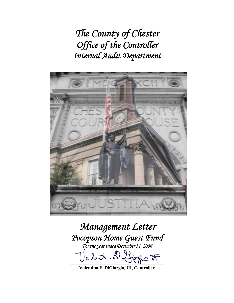*The County of Chester Office of the Controller Internal Audit Department* 



*Management Letter Pocopson Home Guest Fund For the year ended December 31, 2006*  \_\_\_\_\_\_\_\_\_\_\_\_\_\_\_\_\_\_\_\_\_\_\_\_\_\_\_\_\_\_\_\_\_\_\_\_\_\_\_\_\_

**Valentino F. DiGiorgio, III, Controller**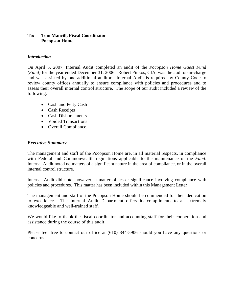## **To: Tom Mancill, Fiscal Coordinator Pocopson Home**

### *Introduction*

On April 5, 2007, Internal Audit completed an audit of the *Pocopson Home Guest Fund (Fund)* for the year ended December 31, 2006. Robert Pinkos, CIA, was the auditor-in-charge and was assisted by one additional auditor. Internal Audit is required by County Code to review county offices annually to ensure compliance with policies and procedures and to assess their overall internal control structure. The scope of our audit included a review of the following:

- Cash and Petty Cash
- Cash Receipts
- Cash Disbursements
- Voided Transactions
- Overall Compliance.

### *Executive Summary*

The management and staff of the Pocopson Home are, in all material respects, in compliance with Federal and Commonwealth regulations applicable to the maintenance of the *Fund*. Internal Audit noted no matters of a significant nature in the area of compliance, or in the overall internal control structure.

Internal Audit did note, however, a matter of lesser significance involving compliance with policies and procedures. This matter has been included within this Management Letter

The management and staff of the Pocopson Home should be commended for their dedication to excellence. The Internal Audit Department offers its compliments to an extremely knowledgeable and well-trained staff.

We would like to thank the fiscal coordinator and accounting staff for their cooperation and assistance during the course of this audit.

Please feel free to contact our office at (610) 344-5906 should you have any questions or concerns.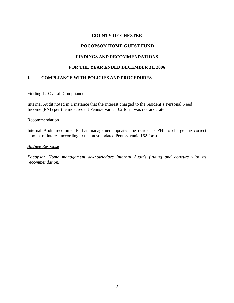# **COUNTY OF CHESTER**

# **POCOPSON HOME GUEST FUND**

# **FINDINGS AND RECOMMENDATIONS**

## **FOR THE YEAR ENDED DECEMBER 31, 2006**

# **I. COMPLIANCE WITH POLICIES AND PROCEDURES**

### Finding 1: Overall Compliance

Internal Audit noted in 1 instance that the interest charged to the resident's Personal Need Income (PNI) per the most recent Pennsylvania 162 form was not accurate.

#### Recommendation

Internal Audit recommends that management updates the resident's PNI to charge the correct amount of interest according to the most updated Pennsylvania 162 form.

### *Auditee Response*

*Pocopson Home management acknowledges Internal Audit's finding and concurs with its recommendation.*